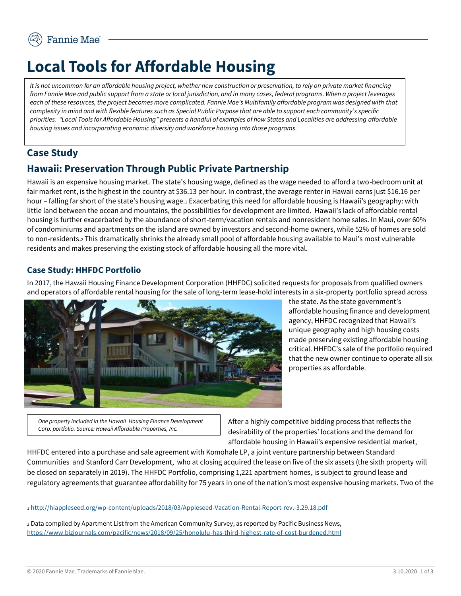# **Local Tools for Affordable Housing**

*It is not uncommon for an affordable housing project, whether new construction or preservation, to rely on private market financing from Fannie Mae and public support from a state or local jurisdiction, and in many cases, federal programs. When a project leverages each of these resources, the project becomes more complicated. Fannie Mae's Multifamily affordable program was designed with that complexity in mind and with flexible features such as Special Public Purpose that are able to support each community's specific priorities. "Local Tools for Affordable Housing" presents a handful of examples of how States and Localities are addressing affordable housing issues and incorporating economic diversity and workforce housing into those programs.* 

## **Case Study**

## **Hawaii: Preservation Through Public Private Partnership**

Hawaii is an expensive housing market. The state's housing wage, defined as the wage needed to afford a two-bedroom unit at fair market rent, is the highest in the country at \$36.13 per hour. In contrast, the average renter in Hawaii earns just \$16.16 per hour – falling far short of the state's housing wage.<sup>1</sup> Exacerbating this need for affordable housing is Hawaii's geography: with little land between the ocean and mountains, the possibilities for development are limited. Hawaii's lack of affordable rental housing is further exacerbated by the abundance of short-term/vacation rentals and nonresident home sales. In Maui, over 60% of condominiums and apartments on the island are owned by investors and second-home owners, while 52% of homes are sold to non-residents.<sup>2</sup> This dramatically shrinks the already small pool of affordable housing available to Maui's most vulnerable residents and makes preserving the existing stock of affordable housing all the more vital.

#### **Case Study: HHFDC Portfolio**

In 2017, the Hawaii Housing Finance Development Corporation (HHFDC) solicited requests for proposals from qualified owners and operators of affordable rental housing for the sale of long-term lease-hold interests in a six-property portfolio spread across



the state. As the state government's affordable housing finance and development agency, HHFDC recognized that Hawaii's unique geography and high housing costs made preserving existing affordable housing critical. HHFDC's sale of the portfolio required that the new owner continue to operate all six properties as affordable.

*One property included in the Hawaii Housing Finance Development Corp. portfolio. Source: Hawaii Affordable Properties, Inc.*

After a highly competitive bidding process that reflects the desirability of the properties' locations and the demand for affordable housing in Hawaii's expensive residential market,

HHFDC entered into a purchase and sale agreement with Komohale LP, a joint venture partnership between Standard Communities and Stanford Carr Development, who at closing acquired the lease on five of the six assets (the sixth property will be closed on separately in 2019). The HHFDC Portfolio, comprising 1,221 apartment homes, is subject to ground lease and regulatory agreements that guarantee affordability for 75 years in one of the nation's most expensive housing markets. Two of the

#### <sup>1</sup> <http://hiappleseed.org/wp-content/uploads/2018/03/Appleseed-Vacation-Rental-Report-rev.-3.29.18.pdf>

<sup>2</sup> Data compiled by Apartment List from the American Community Survey, as reported by Pacific Business News, <https://www.bizjournals.com/pacific/news/2018/09/25/honolulu-has-third-highest-rate-of-cost-burdened.html>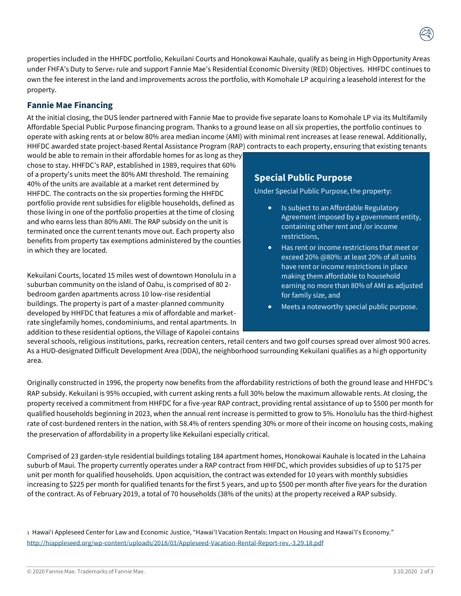properties included in the HHFDC portfolio, Kekuilani Courts and Honokowai Kauhale, qualify as being in High Opportunity Areas under FHFA's Duty to Serve<sub>3</sub> rule and support Fannie Mae's Residential Economic Diversity (RED) Objectives. HHFDC continues to own the fee interest in the land and improvements across the portfolio, with Komohale LP acquiring a leasehold interest for the property.

#### **Fannie Mae Financing**

At the initial closing, the DUS lender partnered with Fannie Mae to provide five separate loans to Komohale LP via its Multifamily Affordable Special Public Purpose financing program. Thanks to a ground lease on all six properties, the portfolio continues to operate with asking rents at or below 80% area median income (AMI) with minimal rent increases at lease renewal. Additionally, HHFDC awarded state project-based Rental Assistance Program (RAP) contracts to each property, ensuring that existing tenants

would be able to remain in their affordable homes for as long as they chose to stay. HHFDC's RAP, established in 1989, requires that 60% of a property's units meet the 80% AMI threshold. The remaining 40% of the units are available at a market rent determined by HHFDC. The contracts on the six properties forming the HHFDC portfolio provide rent subsidies for eligible households, defined as those living in one of the portfolio properties at the time of closing and who earns less than 80% AMI. The RAP subsidy on the unit is terminated once the current tenants move out. Each property also benefits from property tax exemptions administered by the counties in which they are located.

Kekuilani Courts, located 15 miles west of downtown Honolulu in a suburban community on the island of Oahu, is comprised of 80 2 bedroom garden apartments across 10 low-rise residential buildings. The property is part of a master-planned community developed by HHFDC that features a mix of affordable and marketrate singlefamily homes, condominiums, and rental apartments. In addition to these residential options, the Village of Kapolei contains

### **Special Public Purpose**

Under Special Public Purpose, the property:

- Is subject to an Affordable Regulatory Agreement imposed by a government entity, containing other rent and /or income restrictions,
- Has rent or income restrictions that meet or exceed 20% @80%: at least 20% of all units have rent or income restrictions in place making them affordable to household earning no more than 80% of AMI as adjusted for family size, and
- Meets a noteworthy special public purpose.

several schools, religious institutions, parks, recreation centers, retail centers and two golf courses spread over almost 900 acres. As a HUD-designated Difficult Development Area (DDA), the neighborhood surrounding Kekuilani qualifies as a high opportunity area.

Originally constructed in 1996, the property now benefits from the affordability restrictions of both the ground lease and HHFDC's RAP subsidy. Kekuilani is 95% occupied, with current asking rents a full 30% below the maximum allowable rents. At closing, the property received a commitment from HHFDC for a five-year RAP contract, providing rental assistance of up to \$500 per month for qualified households beginning in 2023, when the annual rent increase is permitted to grow to 5%. Honolulu has the third-highest rate of cost-burdened renters in the nation, with 58.4% of renters spending 30% or more of their income on housing costs, making the preservation of affordability in a property like Kekuilani especially critical.

Comprised of 23 garden-style residential buildings totaling 184 apartment homes, Honokowai Kauhale is located in the Lahaina suburb of Maui. The property currently operates under a RAP contract from HHFDC, which provides subsidies of up to \$175 per unit per month for qualified households. Upon acquisition, the contract was extended for 10 years with monthly subsidies increasing to \$225 per month for qualified tenants for the first 5 years, and up to \$500 per month after five years for the duration of the contract. As of February 2019, a total of 70 households (38% of the units) at the property received a RAP subsidy.

<sup>3</sup> Hawai'i Appleseed Center for Law and Economic Justice, "Hawai'I Vacation Rentals: Impact on Housing and Hawai'I's Economy." <http://hiappleseed.org/wp-content/uploads/2018/03/Appleseed-Vacation-Rental-Report-rev.-3.29.18.pdf>